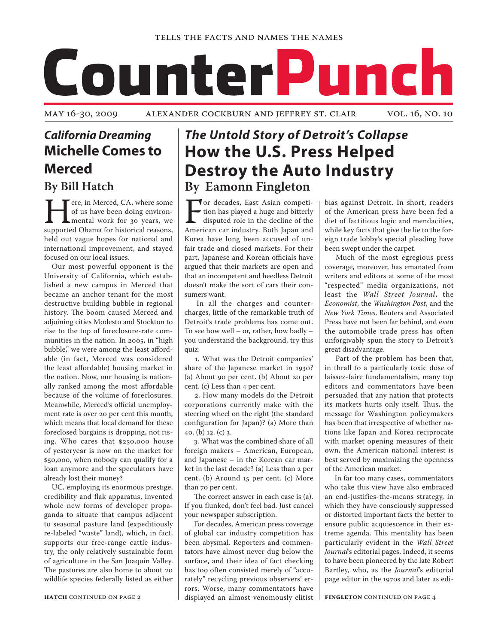# CounterPunch

May 16-30, 2009 Alexander Cockburn and Jeffrey St. Clair vol. 16, no. 10

# *California Dreaming* **Michelle Comes to Merced**

**By Bill Hatch**

Fere, in Merced, CA, where some<br>of us have been doing environ-<br>mental work for 30 years, we<br>supported Obama for historical reasons, of us have been doing environmental work for 30 years, we held out vague hopes for national and international improvement, and stayed focused on our local issues.

Our most powerful opponent is the University of California, which established a new campus in Merced that became an anchor tenant for the most destructive building bubble in regional history. The boom caused Merced and adjoining cities Modesto and Stockton to rise to the top of foreclosure-rate communities in the nation. In 2005, in "high bubble," we were among the least affordable (in fact, Merced was considered the least affordable) housing market in the nation. Now, our housing is nationally ranked among the most affordable because of the volume of foreclosures. Meanwhile, Merced's official unemployment rate is over 20 per cent this month, which means that local demand for these foreclosed bargains is dropping, not rising. Who cares that \$250,000 house of yesteryear is now on the market for \$50,000, when nobody can qualify for a loan anymore and the speculators have already lost their money?

UC, employing its enormous prestige, credibility and flak apparatus, invented whole new forms of developer propaganda to situate that campus adjacent to seasonal pasture land (expeditiously re-labeled "waste" land), which, in fact, supports our free-range cattle industry, the only relatively sustainable form of agriculture in the San Joaquin Valley. The pastures are also home to about 20 wildlife species federally listed as either

## *The Untold Story of Detroit's Collapse* **How the U.S. Press Helped Destroy the Auto Industry By Eamonn Fingleton**

For decades, East Asian competition has played a huge and bitterly disputed role in the decline of the American car industry. Both Japan and tion has played a huge and bitterly disputed role in the decline of the American car industry. Both Japan and Korea have long been accused of unfair trade and closed markets. For their part, Japanese and Korean officials have argued that their markets are open and that an incompetent and heedless Detroit doesn't make the sort of cars their consumers want.

 In all the charges and countercharges, little of the remarkable truth of Detroit's trade problems has come out. To see how well – or, rather, how badly – you understand the background, try this quiz:

 1. What was the Detroit companies' share of the Japanese market in 1930? (a) About 90 per cent. (b) About 20 per cent. (c) Less than 4 per cent.

 2. How many models do the Detroit corporations currently make with the steering wheel on the right (the standard configuration for Japan)? (a) More than 40. (b) 12. (c)  $3$ .

 3. What was the combined share of all foreign makers – American, European, and Japanese – in the Korean car market in the last decade? (a) Less than 2 per cent. (b) Around 15 per cent. (c) More than 70 per cent.

 The correct answer in each case is (a). If you flunked, don't feel bad. Just cancel your newspaper subscription.

 For decades, American press coverage of global car industry competition has been abysmal. Reporters and commentators have almost never dug below the surface, and their idea of fact checking has too often consisted merely of "accurately" recycling previous observers' errors. Worse, many commentators have displayed an almost venomously elitist bias against Detroit. In short, readers of the American press have been fed a diet of factitious logic and mendacities, while key facts that give the lie to the foreign trade lobby's special pleading have been swept under the carpet.

 Much of the most egregious press coverage, moreover, has emanated from writers and editors at some of the most "respected" media organizations, not least the *Wall Street Journal*, the *Economist*, the *Washington Post*, and the *New York Times*. Reuters and Associated Press have not been far behind, and even the automobile trade press has often unforgivably spun the story to Detroit's great disadvantage.

 Part of the problem has been that, in thrall to a particularly toxic dose of laissez-faire fundamentalism, many top editors and commentators have been persuaded that any nation that protects its markets hurts only itself. Thus, the message for Washington policymakers has been that irrespective of whether nations like Japan and Korea reciprocate with market opening measures of their own, the American national interest is best served by maximizing the openness of the American market.

 In far too many cases, commentators who take this view have also embraced an end-justifies-the-means strategy, in which they have consciously suppressed or distorted important facts the better to ensure public acquiescence in their extreme agenda. This mentality has been particularly evident in the *Wall Street Journal*'s editorial pages. Indeed, it seems to have been pioneered by the late Robert Bartley, who, as the *Journal*'s editorial page editor in the 1970s and later as edi-

**FINGLETON** CONTINUED ON PAGE 4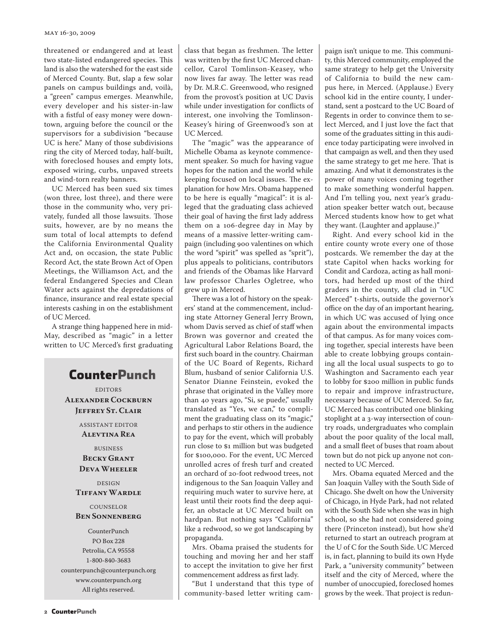#### May 16-30, 2009

threatened or endangered and at least two state-listed endangered species. This land is also the watershed for the east side of Merced County. But, slap a few solar panels on campus buildings and, voilà, a "green" campus emerges. Meanwhile, every developer and his sister-in-law with a fistful of easy money were downtown, arguing before the council or the supervisors for a subdivision "because UC is here." Many of those subdivisions ring the city of Merced today, half-built, with foreclosed houses and empty lots, exposed wiring, curbs, unpaved streets and wind-torn realty banners.

UC Merced has been sued six times (won three, lost three), and there were those in the community who, very privately, funded all those lawsuits. Those suits, however, are by no means the sum total of local attempts to defend the California Environmental Quality Act and, on occasion, the state Public Record Act, the state Brown Act of Open Meetings, the Williamson Act, and the federal Endangered Species and Clean Water acts against the depredations of finance, insurance and real estate special interests cashing in on the establishment of UC Merced.

A strange thing happened here in mid-May, described as "magic" in a letter written to UC Merced's first graduating

## CounterPunch

EDITORS **Alexander Cockburn Jeffrey St. Clair**

> ASSISTANT EDITOR **Alevtina Rea**

BUSINESS **Becky Grant Deva Wheeler**

DESIGN **Tiffany Wardle**

#### **COUNSELOR Ben Sonnenberg**

CounterPunch PO Box 228 Petrolia, CA 95558 1-800-840-3683 counterpunch@counterpunch.org www.counterpunch.org All rights reserved.

class that began as freshmen. The letter was written by the first UC Merced chancellor, Carol Tomlinson-Keasey, who now lives far away. The letter was read by Dr. M.R.C. Greenwood, who resigned from the provost's position at UC Davis while under investigation for conflicts of interest, one involving the Tomlinson-Keasey's hiring of Greenwood's son at UC Merced.

The "magic" was the appearance of Michelle Obama as keynote commencement speaker. So much for having vague hopes for the nation and the world while keeping focused on local issues. The explanation for how Mrs. Obama happened to be here is equally "magical": it is alleged that the graduating class achieved their goal of having the first lady address them on a 106-degree day in May by means of a massive letter-writing campaign (including 900 valentines on which the word "spirit" was spelled as "sprit"), plus appeals to politicians, contributors and friends of the Obamas like Harvard law professor Charles Ogletree, who grew up in Merced.

There was a lot of history on the speakers' stand at the commencement, including state Attorney General Jerry Brown, whom Davis served as chief of staff when Brown was governor and created the Agricultural Labor Relations Board, the first such board in the country. Chairman of the UC Board of Regents, Richard Blum, husband of senior California U.S. Senator Dianne Feinstein, evoked the phrase that originated in the Valley more than 40 years ago, "Si, se puede," usually translated as "Yes, we can," to compliment the graduating class on its "magic," and perhaps to stir others in the audience to pay for the event, which will probably run close to \$1 million but was budgeted for \$100,000. For the event, UC Merced unrolled acres of fresh turf and created an orchard of 20-foot redwood trees, not indigenous to the San Joaquin Valley and requiring much water to survive here, at least until their roots find the deep aquifer, an obstacle at UC Merced built on hardpan. But nothing says "California" like a redwood, so we got landscaping by propaganda.

Mrs. Obama praised the students for touching and moving her and her staff to accept the invitation to give her first commencement address as first lady.

"But I understand that this type of community-based letter writing campaign isn't unique to me. This community, this Merced community, employed the same strategy to help get the University of California to build the new campus here, in Merced. (Applause.) Every school kid in the entire county, I understand, sent a postcard to the UC Board of Regents in order to convince them to select Merced, and I just love the fact that some of the graduates sitting in this audience today participating were involved in that campaign as well, and then they used the same strategy to get me here. That is amazing. And what it demonstrates is the power of many voices coming together to make something wonderful happen. And I'm telling you, next year's graduation speaker better watch out, because Merced students know how to get what they want. (Laughter and applause.)"

Right. And every school kid in the entire county wrote every one of those postcards. We remember the day at the state Capitol when hacks working for Condit and Cardoza, acting as hall monitors, had herded up most of the third graders in the county, all clad in "UC Merced" t-shirts, outside the governor's office on the day of an important hearing, in which UC was accused of lying once again about the environmental impacts of that campus. As for many voices coming together, special interests have been able to create lobbying groups containing all the local usual suspects to go to Washington and Sacramento each year to lobby for \$200 million in public funds to repair and improve infrastructure, necessary because of UC Merced. So far, UC Merced has contributed one blinking stoplight at a 3-way intersection of country roads, undergraduates who complain about the poor quality of the local mall, and a small fleet of buses that roam about town but do not pick up anyone not connected to UC Merced.

Mrs. Obama equated Merced and the San Joaquin Valley with the South Side of Chicago. She dwelt on how the University of Chicago, in Hyde Park, had not related with the South Side when she was in high school, so she had not considered going there (Princeton instead), but how she'd returned to start an outreach program at the U of C for the South Side. UC Merced is, in fact, planning to build its own Hyde Park, a "university community" between itself and the city of Merced, where the number of unoccupied, foreclosed homes grows by the week. That project is redun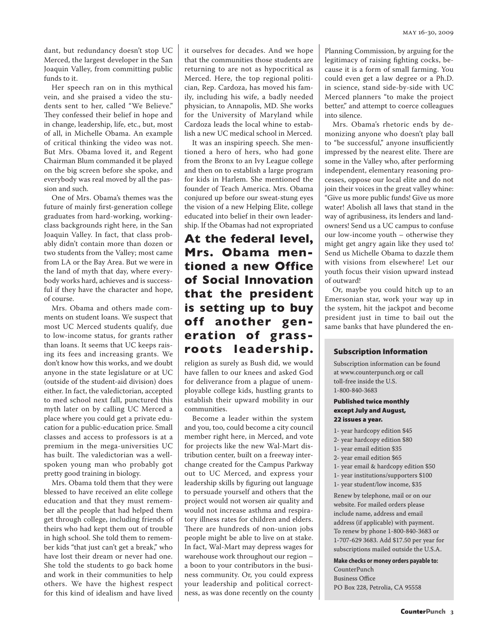dant, but redundancy doesn't stop UC Merced, the largest developer in the San Joaquin Valley, from committing public funds to it.

Her speech ran on in this mythical vein, and she praised a video the students sent to her, called "We Believe." They confessed their belief in hope and in change, leadership, life, etc., but, most of all, in Michelle Obama. An example of critical thinking the video was not. But Mrs. Obama loved it, and Regent Chairman Blum commanded it be played on the big screen before she spoke, and everybody was real moved by all the passion and such.

One of Mrs. Obama's themes was the future of mainly first-generation college graduates from hard-working, workingclass backgrounds right here, in the San Joaquin Valley. In fact, that class probably didn't contain more than dozen or two students from the Valley; most came from LA or the Bay Area. But we were in the land of myth that day, where everybody works hard, achieves and is successful if they have the character and hope, of course.

Mrs. Obama and others made comments on student loans. We suspect that most UC Merced students qualify, due to low-income status, for grants rather than loans. It seems that UC keeps raising its fees and increasing grants. We don't know how this works, and we doubt anyone in the state legislature or at UC (outside of the student-aid division) does either. In fact, the valedictorian, accepted to med school next fall, punctured this myth later on by calling UC Merced a place where you could get a private education for a public-education price. Small classes and access to professors is at a premium in the mega-universities UC has built. The valedictorian was a wellspoken young man who probably got pretty good training in biology.

Mrs. Obama told them that they were blessed to have received an elite college education and that they must remember all the people that had helped them get through college, including friends of theirs who had kept them out of trouble in high school. She told them to remember kids "that just can't get a break," who have lost their dream or never had one. She told the students to go back home and work in their communities to help others. We have the highest respect for this kind of idealism and have lived

it ourselves for decades. And we hope that the communities those students are returning to are not as hypocritical as Merced. Here, the top regional politician, Rep. Cardoza, has moved his family, including his wife, a badly needed physician, to Annapolis, MD. She works for the University of Maryland while Cardoza leads the local whine to establish a new UC medical school in Merced.

It was an inspiring speech. She mentioned a hero of hers, who had gone from the Bronx to an Ivy League college and then on to establish a large program for kids in Harlem. She mentioned the founder of Teach America. Mrs. Obama conjured up before our sweat-stung eyes the vision of a new Helping Elite, college educated into belief in their own leadership. If the Obamas had not expropriated

## **At the federal level, Mrs. Obama mentioned a new Office of Social Innovation that the president is setting up to buy off another generation of grassroots leadership.**

religion as surely as Bush did, we would have fallen to our knees and asked God for deliverance from a plague of unemployable college kids, hustling grants to establish their upward mobility in our communities.

Become a leader within the system and you, too, could become a city council member right here, in Merced, and vote for projects like the new Wal-Mart distribution center, built on a freeway interchange created for the Campus Parkway out to UC Merced, and express your leadership skills by figuring out language to persuade yourself and others that the project would not worsen air quality and would not increase asthma and respiratory illness rates for children and elders. There are hundreds of non-union jobs people might be able to live on at stake. In fact, Wal-Mart may depress wages for warehouse work throughout our region – a boon to your contributors in the business community. Or, you could express your leadership and political correctness, as was done recently on the county Planning Commission, by arguing for the legitimacy of raising fighting cocks, because it is a form of small farming. You could even get a law degree or a Ph.D. in science, stand side-by-side with UC Merced planners "to make the project better," and attempt to coerce colleagues into silence.

Mrs. Obama's rhetoric ends by demonizing anyone who doesn't play ball to "be successful," anyone insufficiently impressed by the nearest elite. There are some in the Valley who, after performing independent, elementary reasoning processes, oppose our local elite and do not join their voices in the great valley whine: "Give us more public funds! Give us more water! Abolish all laws that stand in the way of agribusiness, its lenders and landowners! Send us a UC campus to confuse our low-income youth – otherwise they might get angry again like they used to! Send us Michelle Obama to dazzle them with visions from elsewhere! Let our youth focus their vision upward instead of outward!

Or, maybe you could hitch up to an Emersonian star, work your way up in the system, hit the jackpot and become president just in time to bail out the same banks that have plundered the en-

#### Subscription Information

Subscription information can be found at www.counterpunch.org or call toll-free inside the U.S. 1-800-840-3683

#### Published twice monthly except July and August, 22 issues a year.

- 1- year hardcopy edition \$45
- 2- year hardcopy edition \$80
- 1- year email edition \$35
- 2- year email edition \$65
- 1- year email & hardcopy edition \$50
- 1- year institutions/supporters \$100
- 1- year student/low income, \$35

Renew by telephone, mail or on our website. For mailed orders please include name, address and email address (if applicable) with payment. To renew by phone 1-800-840-3683 or 1-707-629 3683. Add \$17.50 per year for subscriptions mailed outside the U.S.A.

**Make checks or money orders payable to:** 

CounterPunch Business Office PO Box 228, Petrolia, CA 95558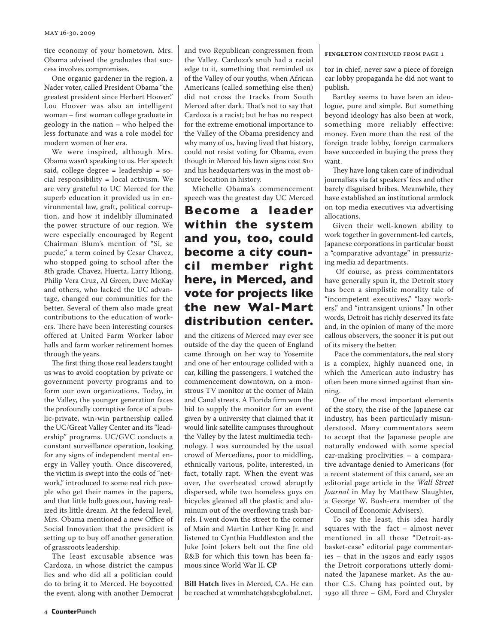tire economy of your hometown. Mrs. Obama advised the graduates that success involves compromises.

One organic gardener in the region, a Nader voter, called President Obama "the greatest president since Herbert Hoover." Lou Hoover was also an intelligent woman – first woman college graduate in geology in the nation – who helped the less fortunate and was a role model for modern women of her era.

We were inspired, although Mrs. Obama wasn't speaking to us. Her speech said, college degree = leadership = social responsibility = local activism. We are very grateful to UC Merced for the superb education it provided us in environmental law, graft, political corruption, and how it indelibly illuminated the power structure of our region. We were especially encouraged by Regent Chairman Blum's mention of "Si, se puede," a term coined by Cesar Chavez, who stopped going to school after the 8th grade. Chavez, Huerta, Larry Itliong, Philip Vera Cruz, Al Green, Dave McKay and others, who lacked the UC advantage, changed our communities for the better. Several of them also made great contributions to the education of workers. There have been interesting courses offered at United Farm Worker labor halls and farm worker retirement homes through the years.

The first thing those real leaders taught us was to avoid cooptation by private or government poverty programs and to form our own organizations. Today, in the Valley, the younger generation faces the profoundly corruptive force of a public-private, win-win partnership called the UC/Great Valley Center and its "leadership" programs. UC/GVC conducts a constant surveillance operation, looking for any signs of independent mental energy in Valley youth. Once discovered, the victim is swept into the coils of "network," introduced to some real rich people who get their names in the papers, and that little bulb goes out, having realized its little dream. At the federal level, Mrs. Obama mentioned a new Office of Social Innovation that the president is setting up to buy off another generation of grassroots leadership.

The least excusable absence was Cardoza, in whose district the campus lies and who did all a politician could do to bring it to Merced. He boycotted the event, along with another Democrat and two Republican congressmen from the Valley. Cardoza's snub had a racial edge to it, something that reminded us of the Valley of our youths, when African Americans (called something else then) did not cross the tracks from South Merced after dark. That's not to say that Cardoza is a racist; but he has no respect for the extreme emotional importance to the Valley of the Obama presidency and why many of us, having lived that history, could not resist voting for Obama, even though in Merced his lawn signs cost \$10 and his headquarters was in the most obscure location in history.

Michelle Obama's commencement speech was the greatest day UC Merced

## **Become a leader within the system and you, too, could become a city council member right here, in Merced, and vote for projects like the new Wal-Mart distribution center.**

and the citizens of Merced may ever see outside of the day the queen of England came through on her way to Yosemite and one of her entourage collided with a car, killing the passengers. I watched the commencement downtown, on a monstrous TV monitor at the corner of Main and Canal streets. A Florida firm won the bid to supply the monitor for an event given by a university that claimed that it would link satellite campuses throughout the Valley by the latest multimedia technology. I was surrounded by the usual crowd of Mercedians, poor to middling, ethnically various, polite, interested, in fact, totally rapt. When the event was over, the overheated crowd abruptly dispersed, while two homeless guys on bicycles gleaned all the plastic and aluminum out of the overflowing trash barrels. I went down the street to the corner of Main and Martin Luther King Jr. and listened to Cynthia Huddleston and the Juke Joint Jokers belt out the fine old R&B for which this town has been famous since World War II**. CP** 

**Bill Hatch** lives in Merced, CA. He can be reached at wmmhatch@sbcglobal.net.

#### **fingleton** continued from page 1

tor in chief, never saw a piece of foreign car lobby propaganda he did not want to publish.

Bartley seems to have been an ideologue, pure and simple. But something beyond ideology has also been at work, something more reliably effective: money. Even more than the rest of the foreign trade lobby, foreign carmakers have succeeded in buying the press they want.

They have long taken care of individual journalists via fat speakers' fees and other barely disguised bribes. Meanwhile, they have established an institutional armlock on top media executives via advertising allocations.

Given their well-known ability to work together in government-led cartels, Japanese corporations in particular boast a "comparative advantage" in pressurizing media ad departments.

 Of course, as press commentators have generally spun it, the Detroit story has been a simplistic morality tale of "incompetent executives," "lazy workers," and "intransigent unions." In other words, Detroit has richly deserved its fate and, in the opinion of many of the more callous observers, the sooner it is put out of its misery the better.

 Pace the commentators, the real story is a complex, highly nuanced one, in which the American auto industry has often been more sinned against than sinning.

One of the most important elements of the story, the rise of the Japanese car industry, has been particularly misunderstood. Many commentators seem to accept that the Japanese people are naturally endowed with some special car-making proclivities – a comparative advantage denied to Americans (for a recent statement of this canard, see an editorial page article in the *Wall Street Journal* in May by Matthew Slaughter, a George W. Bush-era member of the Council of Economic Advisers).

To say the least, this idea hardly squares with the fact – almost never mentioned in all those "Detroit-asbasket-case" editorial page commentaries – that in the 1920s and early 1930s the Detroit corporations utterly dominated the Japanese market. As the author C.S. Chang has pointed out, by 1930 all three – GM, Ford and Chrysler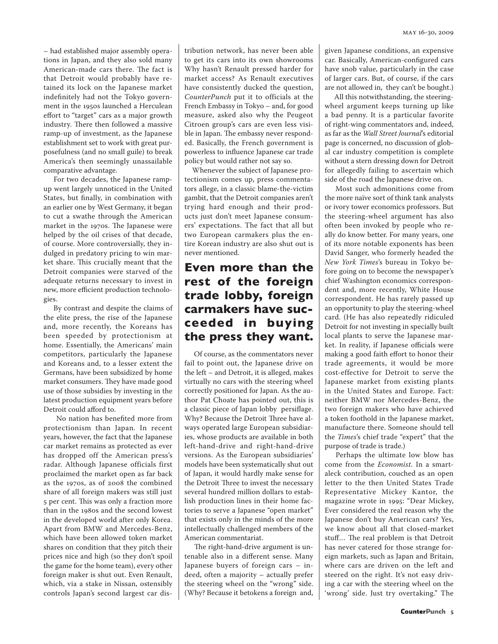– had established major assembly operations in Japan, and they also sold many American-made cars there. The fact is that Detroit would probably have retained its lock on the Japanese market indefinitely had not the Tokyo government in the 1950s launched a Herculean effort to "target" cars as a major growth industry. There then followed a massive ramp-up of investment, as the Japanese establishment set to work with great purposefulness (and no small guile) to break America's then seemingly unassailable comparative advantage.

 For two decades, the Japanese rampup went largely unnoticed in the United States, but finally, in combination with an earlier one by West Germany, it began to cut a swathe through the American market in the 1970s. The Japanese were helped by the oil crises of that decade, of course. More controversially, they indulged in predatory pricing to win market share. This crucially meant that the Detroit companies were starved of the adequate returns necessary to invest in new, more efficient production technologies.

 By contrast and despite the claims of the elite press, the rise of the Japanese and, more recently, the Koreans has been speeded by protectionism at home. Essentially, the Americans' main competitors, particularly the Japanese and Koreans and, to a lesser extent the Germans, have been subsidized by home market consumers. They have made good use of those subsidies by investing in the latest production equipment years before Detroit could afford to.

 No nation has benefited more from protectionism than Japan. In recent years, however, the fact that the Japanese car market remains as protected as ever has dropped off the American press's radar. Although Japanese officials first proclaimed the market open as far back as the 1970s, as of 2008 the combined share of all foreign makers was still just 5 per cent. This was only a fraction more than in the 1980s and the second lowest in the developed world after only Korea. Apart from BMW and Mercedes-Benz, which have been allowed token market shares on condition that they pitch their prices nice and high (so they don't spoil the game for the home team), every other foreign maker is shut out. Even Renault, which, via a stake in Nissan, ostensibly controls Japan's second largest car distribution network, has never been able to get its cars into its own showrooms Why hasn't Renault pressed harder for market access? As Renault executives have consistently ducked the question, *CounterPunch* put it to officials at the French Embassy in Tokyo – and, for good measure, asked also why the Peugeot Citroen group's cars are even less visible in Japan. The embassy never responded. Basically, the French government is powerless to influence Japanese car trade policy but would rather not say so.

Whenever the subject of Japanese protectionism comes up, press commentators allege, in a classic blame-the-victim gambit, that the Detroit companies aren't trying hard enough and their products just don't meet Japanese consumers' expectations. The fact that all but two European carmakers plus the entire Korean industry are also shut out is never mentioned.

## **Even more than the rest of the foreign trade lobby, foreign carmakers have succeeded in buying the press they want.**

 Of course, as the commentators never fail to point out, the Japanese drive on the left – and Detroit, it is alleged, makes virtually no cars with the steering wheel correctly positioned for Japan. As the author Pat Choate has pointed out, this is a classic piece of Japan lobby persiflage. Why? Because the Detroit Three have always operated large European subsidiaries, whose products are available in both left-hand-drive and right-hand-drive versions. As the European subsidiaries' models have been systematically shut out of Japan, it would hardly make sense for the Detroit Three to invest the necessary several hundred million dollars to establish production lines in their home factories to serve a Japanese "open market" that exists only in the minds of the more intellectually challenged members of the American commentariat.

 The right-hand-drive argument is untenable also in a different sense. Many Japanese buyers of foreign cars – indeed, often a majority – actually prefer the steering wheel on the "wrong" side. (Why? Because it betokens a foreign and, given Japanese conditions, an expensive car. Basically, American-configured cars have snob value, particularly in the case of larger cars. But, of course, if the cars are not allowed in, they can't be bought.)

 All this notwithstanding, the steeringwheel argument keeps turning up like a bad penny. It is a particular favorite of right-wing commentators and, indeed, as far as the *Wall Street Journal*'s editorial page is concerned, no discussion of global car industry competition is complete without a stern dressing down for Detroit for allegedly failing to ascertain which side of the road the Japanese drive on.

 Most such admonitions come from the more naïve sort of think tank analysts or ivory tower economics professors. But the steering-wheel argument has also often been invoked by people who really do know better. For many years, one of its more notable exponents has been David Sanger, who formerly headed the *New York Times*'s bureau in Tokyo before going on to become the newspaper's chief Washington economics correspondent and, more recently, White House correspondent. He has rarely passed up an opportunity to play the steering-wheel card. (He has also repeatedly ridiculed Detroit for not investing in specially built local plants to serve the Japanese market. In reality, if Japanese officials were making a good faith effort to honor their trade agreements, it would be more cost-effective for Detroit to serve the Japanese market from existing plants in the United States and Europe. Fact: neither BMW nor Mercedes-Benz, the two foreign makers who have achieved a token foothold in the Japanese market, manufacture there. Someone should tell the *Times*'s chief trade "expert" that the purpose of trade is trade.)

 Perhaps the ultimate low blow has come from the *Economist*. In a smartaleck contribution, couched as an open letter to the then United States Trade Representative Mickey Kantor, the magazine wrote in 1995: "Dear Mickey, Ever considered the real reason why the Japanese don't buy American cars? Yes, we know about all that closed-market stuff… The real problem is that Detroit has never catered for those strange foreign markets, such as Japan and Britain, where cars are driven on the left and steered on the right. It's not easy driving a car with the steering wheel on the 'wrong' side. Just try overtaking." The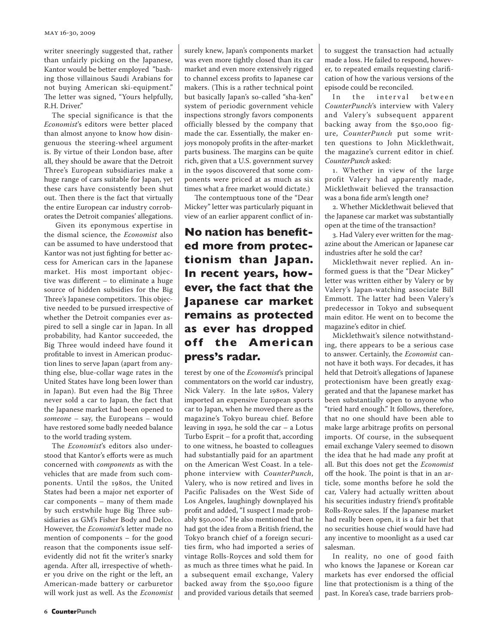writer sneeringly suggested that, rather than unfairly picking on the Japanese, Kantor would be better employed "bashing those villainous Saudi Arabians for not buying American ski-equipment." The letter was signed, "Yours helpfully, R.H. Driver."

The special significance is that the *Economist*'s editors were better placed than almost anyone to know how disingenuous the steering-wheel argument is. By virtue of their London base, after all, they should be aware that the Detroit Three's European subsidiaries make a huge range of cars suitable for Japan, yet these cars have consistently been shut out. Then there is the fact that virtually the entire European car industry corroborates the Detroit companies' allegations.

 Given its eponymous expertise in the dismal science, the *Economist* also can be assumed to have understood that Kantor was not just fighting for better access for American cars in the Japanese market. His most important objective was different – to eliminate a huge source of hidden subsidies for the Big Three's Japanese competitors. This objective needed to be pursued irrespective of whether the Detroit companies ever aspired to sell a single car in Japan. In all probability, had Kantor succeeded, the Big Three would indeed have found it profitable to invest in American production lines to serve Japan (apart from anything else, blue-collar wage rates in the United States have long been lower than in Japan). But even had the Big Three never sold a car to Japan, the fact that the Japanese market had been opened to *someone* – say, the Europeans – would have restored some badly needed balance to the world trading system.

The *Economist*'s editors also understood that Kantor's efforts were as much concerned with *components* as with the vehicles that are made from such components. Until the 1980s, the United States had been a major net exporter of car components – many of them made by such erstwhile huge Big Three subsidiaries as GM's Fisher Body and Delco. However, the *Economist*'s letter made no mention of components – for the good reason that the components issue selfevidently did not fit the writer's snarky agenda. After all, irrespective of whether you drive on the right or the left, an American-made battery or carburetor will work just as well. As the *Economist* surely knew, Japan's components market was even more tightly closed than its car market and even more extensively rigged to channel excess profits to Japanese car makers. (This is a rather technical point but basically Japan's so-called "sha-ken" system of periodic government vehicle inspections strongly favors components officially blessed by the company that made the car. Essentially, the maker enjoys monopoly profits in the after-market parts business. The margins can be quite rich, given that a U.S. government survey in the 1990s discovered that some components were priced at as much as six times what a free market would dictate.)

 The contemptuous tone of the "Dear Mickey" letter was particularly piquant in view of an earlier apparent conflict of in-

## **No nation has benefited more from protectionism than Japan. In recent years, however, the fact that the Japanese car market remains as protected as ever has dropped off the American press's radar.**

terest by one of the *Economist*'s principal commentators on the world car industry, Nick Valery. In the late 1980s, Valery imported an expensive European sports car to Japan, when he moved there as the magazine's Tokyo bureau chief. Before leaving in 1992, he sold the car – a Lotus Turbo Esprit – for a profit that, according to one witness, he boasted to colleagues had substantially paid for an apartment on the American West Coast. In a telephone interview with *CounterPunch*, Valery, who is now retired and lives in Pacific Palisades on the West Side of Los Angeles, laughingly downplayed his profit and added, "I suspect I made probably \$50,000." He also mentioned that he had got the idea from a British friend, the Tokyo branch chief of a foreign securities firm, who had imported a series of vintage Rolls-Royces and sold them for as much as three times what he paid. In a subsequent email exchange, Valery backed away from the \$50,000 figure and provided various details that seemed

to suggest the transaction had actually made a loss. He failed to respond, however, to repeated emails requesting clarification of how the various versions of the episode could be reconciled.

In the interval between *CounterPunch*'s interview with Valery and Valery's subsequent apparent backing away from the \$50,000 figure, *CounterPunch* put some written questions to John Micklethwait, the magazine's current editor in chief. *CounterPunch* asked:

1. Whether in view of the large profit Valery had apparently made, Micklethwait believed the transaction was a bona fide arm's length one?

2. Whether Micklethwait believed that the Japanese car market was substantially open at the time of the transaction?

3. Had Valery ever written for the magazine about the American or Japanese car industries after he sold the car?

Micklethwait never replied. An informed guess is that the "Dear Mickey" letter was written either by Valery or by Valery's Japan-watching associate Bill Emmott. The latter had been Valery's predecessor in Tokyo and subsequent main editor. He went on to become the magazine's editor in chief.

Micklethwait's silence notwithstanding, there appears to be a serious case to answer. Certainly, the *Economist* cannot have it both ways. For decades, it has held that Detroit's allegations of Japanese protectionism have been greatly exaggerated and that the Japanese market has been substantially open to anyone who "tried hard enough." It follows, therefore, that no one should have been able to make large arbitrage profits on personal imports. Of course, in the subsequent email exchange Valery seemed to disown the idea that he had made any profit at all. But this does not get the *Economist* off the hook. The point is that in an article, some months before he sold the car, Valery had actually written about his securities industry friend's profitable Rolls-Royce sales. If the Japanese market had really been open, it is a fair bet that no securities house chief would have had any incentive to moonlight as a used car salesman.

In reality, no one of good faith who knows the Japanese or Korean car markets has ever endorsed the official line that protectionism is a thing of the past. In Korea's case, trade barriers prob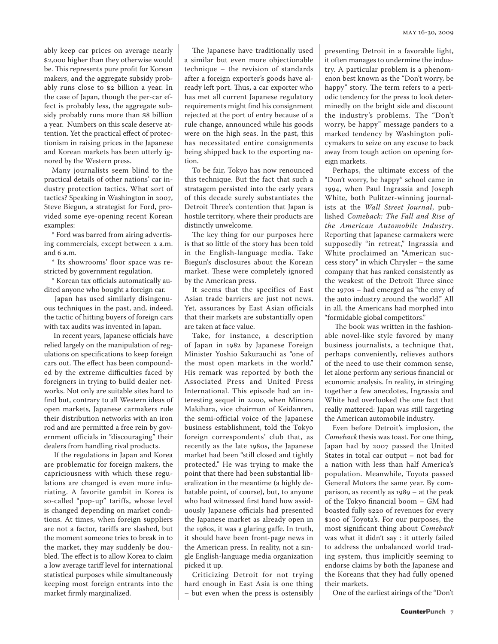ably keep car prices on average nearly \$2,000 higher than they otherwise would be. This represents pure profit for Korean makers, and the aggregate subsidy probably runs close to \$2 billion a year. In the case of Japan, though the per-car effect is probably less, the aggregate subsidy probably runs more than \$8 billion a year. Numbers on this scale deserve attention. Yet the practical effect of protectionism in raising prices in the Japanese and Korean markets has been utterly ignored by the Western press.

Many journalists seem blind to the practical details of other nations' car industry protection tactics. What sort of tactics? Speaking in Washington in 2007, Steve Biegun, a strategist for Ford, provided some eye-opening recent Korean examples:

\* Ford was barred from airing advertising commercials, except between 2 a.m. and 6 a.m.

\* Its showrooms' floor space was restricted by government regulation.

\* Korean tax officials automatically audited anyone who bought a foreign car.

 Japan has used similarly disingenuous techniques in the past, and, indeed, the tactic of hitting buyers of foreign cars with tax audits was invented in Japan.

 In recent years, Japanese officials have relied largely on the manipulation of regulations on specifications to keep foreign cars out. The effect has been compounded by the extreme difficulties faced by foreigners in trying to build dealer networks. Not only are suitable sites hard to find but, contrary to all Western ideas of open markets, Japanese carmakers rule their distribution networks with an iron rod and are permitted a free rein by government officials in "discouraging" their dealers from handling rival products.

 If the regulations in Japan and Korea are problematic for foreign makers, the capriciousness with which these regulations are changed is even more infuriating. A favorite gambit in Korea is so-called "pop-up" tariffs, whose level is changed depending on market conditions. At times, when foreign suppliers are not a factor, tariffs are slashed, but the moment someone tries to break in to the market, they may suddenly be doubled. The effect is to allow Korea to claim a low average tariff level for international statistical purposes while simultaneously keeping most foreign entrants into the market firmly marginalized.

The Japanese have traditionally used a similar but even more objectionable technique – the revision of standards after a foreign exporter's goods have already left port. Thus, a car exporter who has met all current Japanese regulatory requirements might find his consignment rejected at the port of entry because of a rule change, announced while his goods were on the high seas. In the past, this has necessitated entire consignments being shipped back to the exporting nation.

To be fair, Tokyo has now renounced this technique. But the fact that such a stratagem persisted into the early years of this decade surely substantiates the Detroit Three's contention that Japan is hostile territory, where their products are distinctly unwelcome.

The key thing for our purposes here is that so little of the story has been told in the English-language media. Take Biegun's disclosures about the Korean market. These were completely ignored by the American press.

It seems that the specifics of East Asian trade barriers are just not news. Yet, assurances by East Asian officials that their markets are substantially open are taken at face value.

Take, for instance, a description of Japan in 1982 by Japanese Foreign Minister Yoshio Sakurauchi as "one of the most open markets in the world." His remark was reported by both the Associated Press and United Press International. This episode had an interesting sequel in 2000, when Minoru Makihara, vice chairman of Keidanren, the semi-official voice of the Japanese business establishment, told the Tokyo foreign correspondents' club that, as recently as the late 1980s, the Japanese market had been "still closed and tightly protected." He was trying to make the point that there had been substantial liberalization in the meantime (a highly debatable point, of course), but, to anyone who had witnessed first hand how assiduously Japanese officials had presented the Japanese market as already open in the 1980s, it was a glaring gaffe. In truth, it should have been front-page news in the American press. In reality, not a single English-language media organization picked it up.

Criticizing Detroit for not trying hard enough in East Asia is one thing – but even when the press is ostensibly presenting Detroit in a favorable light, it often manages to undermine the industry. A particular problem is a phenomenon best known as the "Don't worry, be happy" story. The term refers to a periodic tendency for the press to look determinedly on the bright side and discount the industry's problems. The "Don't worry, be happy" message panders to a marked tendency by Washington policymakers to seize on any excuse to back away from tough action on opening foreign markets.

Perhaps, the ultimate excess of the "Don't worry, be happy" school came in 1994, when Paul Ingrassia and Joseph White, both Pulitzer-winning journalists at the *Wall Street Journal*, published *Comeback: The Fall and Rise of the American Automobile Industry*. Reporting that Japanese carmakers were supposedly "in retreat," Ingrassia and White proclaimed an "American success story" in which Chrysler – the same company that has ranked consistently as the weakest of the Detroit Three since the 1970s – had emerged as "the envy of the auto industry around the world." All in all, the Americans had morphed into "formidable global competitors."

 The book was written in the fashionable novel-like style favored by many business journalists, a technique that, perhaps conveniently, relieves authors of the need to use their common sense, let alone perform any serious financial or economic analysis. In reality, in stringing together a few anecdotes, Ingrassia and White had overlooked the one fact that really mattered: Japan was still targeting the American automobile industry.

Even before Detroit's implosion, the *Comeback* thesis was toast. For one thing, Japan had by 2007 passed the United States in total car output – not bad for a nation with less than half America's population. Meanwhile, Toyota passed General Motors the same year. By comparison, as recently as 1989 – at the peak of the Tokyo financial boom – GM had boasted fully \$220 of revenues for every \$100 of Toyota's. For our purposes, the most significant thing about *Comeback* was what it didn't say : it utterly failed to address the unbalanced world trading system, thus implicitly seeming to endorse claims by both the Japanese and the Koreans that they had fully opened their markets.

One of the earliest airings of the "Don't